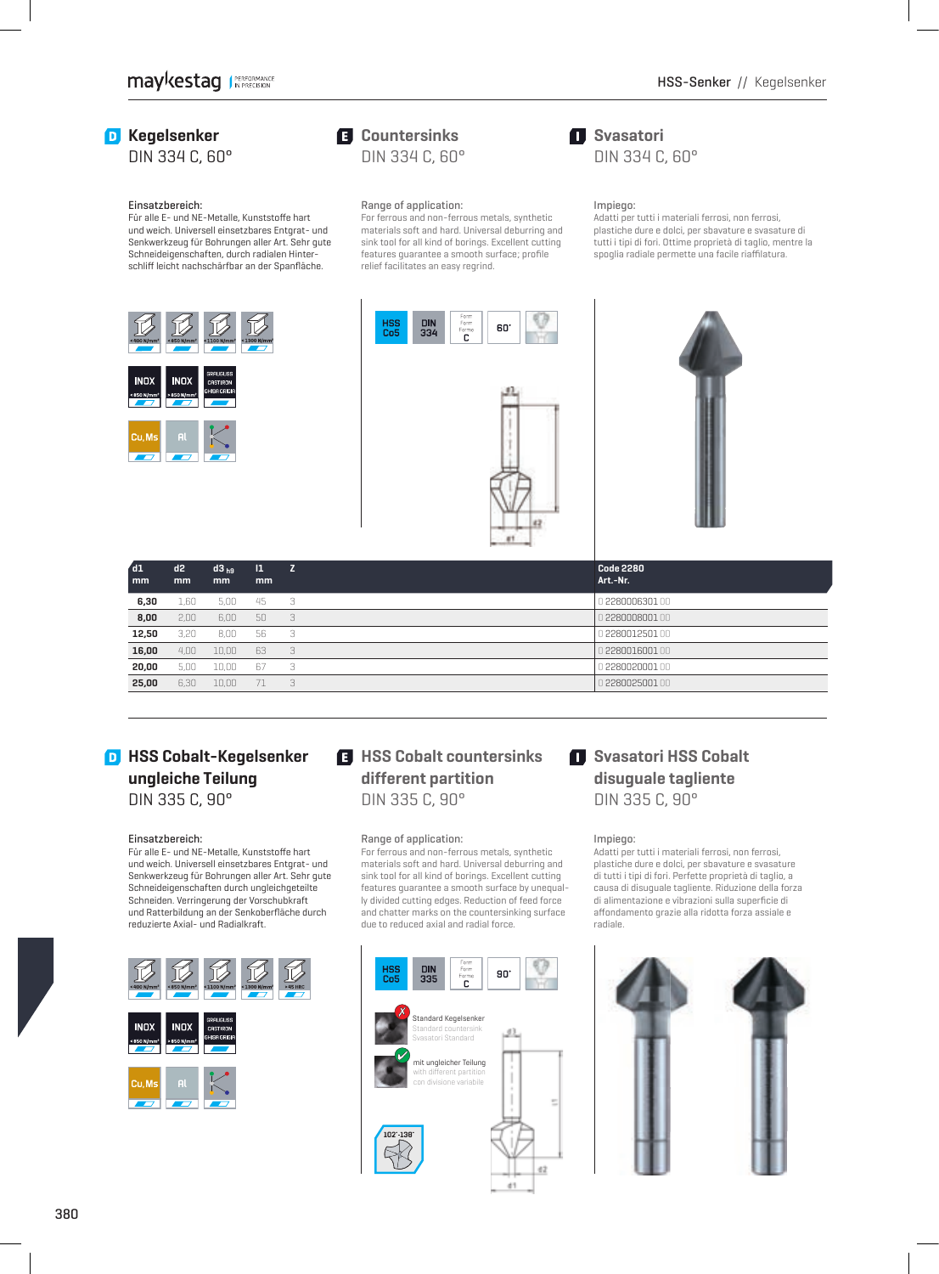## **D** Kegelsenker

DIN 334 C, 60°

#### Einsatzbereich:

Für alle E- und NE-Metalle, Kunststoffe hart und weich. Universell einsetzbares Entgrat- und Senkwerkzeug für Bohrungen aller Art. Sehr gute Schneid eigenschaften, durch radialen Hinterschliff leicht nachschärfbar an der Spanfläche.



## **Countersinks** DIN 334 C, 60°

## Range of application:

 For ferrous and non-ferrous metals, synthetic materials soft and hard. Universal deburring and sink tool for all kind of borings. Excellent cutting features guarantee a smooth surface; profile relief facilitates an easy regrind.

## $\blacksquare$  Svasatori DIN 334 C, 60°

#### Impiego:

 Adatti per tutti i materiali ferrosi, non ferrosi, plastiche dure e dolci, per sbavature e svasature di tutti i tipi di fori. Ottime proprietà di taglio, mentre la spoglia radiale permette una facile riaffilatura.





| $\sqrt{d}1$<br>mm | d2<br>mm | $d3_{h9}$<br>mm | $\mathbf{1}$<br>mm | z  | <b>Code 2280</b><br>Art.-Nr. |
|-------------------|----------|-----------------|--------------------|----|------------------------------|
| 6,30              | 1,60     | 5.00            | -45                | -3 | 0 2280006301 00              |
| 8,00              | 2.00     | 6.00            | 50                 | 3  | 0 2280008001 00              |
| 12,50             | 3,20     | 8,00            | 56                 | -3 | 0228001250100                |
| 16,00             | 4.00     | 10.00           | 63                 | 3  | 0 228001600100               |
| 20,00             | 5.00     | 10.00           | 67                 | З  | 0 2280020001 00              |
| 25,00             | 6,30     | 10.00           | 71                 | 3  | 0 2280025001 00              |

## **D** HSS Cobalt-Kegelsenker **ungleiche Teilung** DIN 335 C, 90°

#### Einsatzbereich:

Für alle E- und NE-Metalle, Kunststoffe hart und weich. Universell einsetzbares Entgrat- und Senkwerkzeug für Bohrungen aller Art. Sehr gute Schneideigenschaften durch ungleichgeteilte Schneiden. Verringerung der Vorschubkraft und Ratterbildung an der Senkoberfläche durch reduzierte Axial- und Radialkraft.



## $H$  **HSS Cobalt countersinks different partition** DIN 335 C, 90°

#### Range of application:

 For ferrous and non-ferrous metals, synthetic materials soft and hard. Universal deburring and sink tool for all kind of borings. Excellent cutting features guarantee a smooth surface by unequally divided cutting edges. Reduction of feed force and chatter marks on the countersinking surface due to reduced axial and radial force.



## **Svasatori HSS Cobalt disuguale tagliente** DIN 335 C, 90°

#### Impiego:

Adatti per tutti i materiali ferrosi, non ferrosi, plastiche dure e dolci, per sbavature e svasature di tutti i tipi di fori. Perfette proprietà di taglio, a causa di disuguale tagliente. Riduzione della forza di alimentazione e vibrazioni sulla superficie di aff ondamento grazie alla ridotta forza assiale e radiale.

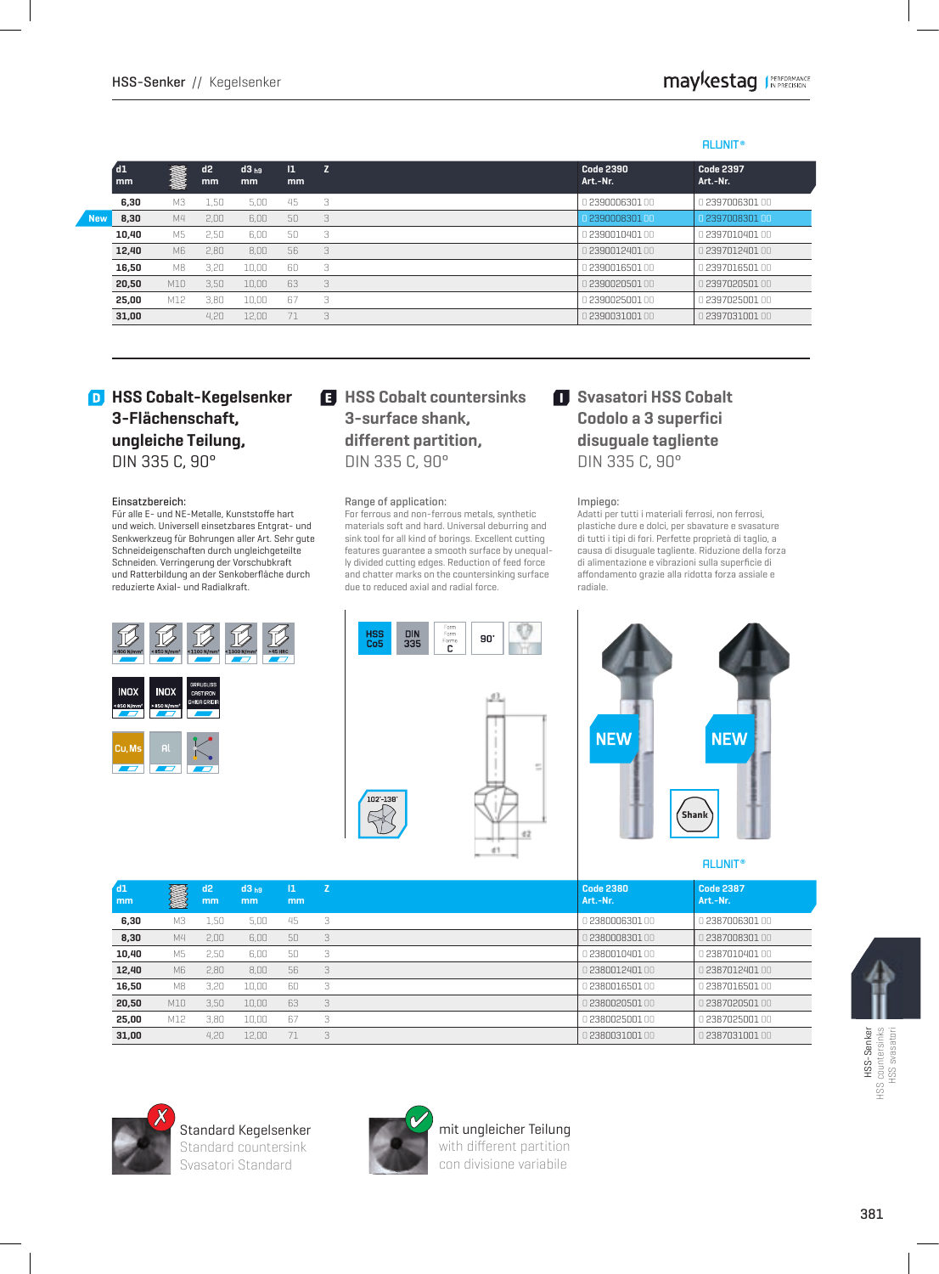## **ALUNIT ®**

|            | $^{\prime}$ d1<br>mm | <b>MARK</b> | d2<br>mm | d3 <sub>h9</sub><br><sub>mm</sub> | $\mathbf{I}$<br><sub>mm</sub> | 7 | <b>Code 2390</b><br>Art.-Nr. | <b>Code 2397</b><br>Art.-Nr. |
|------------|----------------------|-------------|----------|-----------------------------------|-------------------------------|---|------------------------------|------------------------------|
|            | 6.30                 | MЗ          | 1.50     | 5.00                              | 45                            | 3 | 0 2390006301 00              | 0 2397006301 00              |
| <b>New</b> | 8.30                 | M4          | 2.00     | 6.00                              | 50                            | 3 | 0.2390008301.00              | 0.2397008301.00              |
|            | 10.40                | M5          | 2.50     | 6.00                              | 50                            | 3 | 0 2390010401 00              | 0 2397010401 00              |
|            | 12,40                | M6          | 2.80     | 8.00                              | 56                            | 3 | 1239001240100                | 12397012401.00.              |
|            | 16,50                | M8          | 3.20     | 10.00                             | 60                            | 3 | 0 2390016501 00              | 0 2397016501 00              |
|            | 20,50                | M10         | 3.50     | 10.00                             | 63                            | 3 | 1239002050100                | 1 <b>2397020501</b> 00       |
|            | 25.00                | M12         | 3.80     | 10.00                             | 67                            | 3 | 0 <b>2390025001</b> 00       | 0 <b>2397025001</b> 00       |
|            | 31,00                |             | 4.20     | 12.00                             | 71                            | 3 | 1239003100100                | 1239703100100                |

## **D** HSS Cobalt-Kegelsenker **3-Flächenschaft, ungleiche Teilung,** DIN 335 C, 90°

#### Einsatzbereich:

Für alle E- und NE-Metalle, Kunststoffe hart und weich. Universell einsetzbares Entgrat- und Senkwerkzeug für Bohrungen aller Art. Sehr gute Schneid eigenschaften durch ungleichgeteilte Schneiden. Verringerung der Vorschubkraft und Ratterbildung an der Senkoberfläche durch reduzierte Axial- und Radialkraft.



## **HSS Cobalt countersinks 3-surface shank, different partition,** DIN 335 C, 90°

#### Range of application:

 For ferrous and non-ferrous metals, synthetic materials soft and hard. Universal deburring and sink tool for all kind of borings. Excellent cutting features guarantee a smooth surface by unequally divided cutting edges. Reduction of feed force and chatter marks on the countersinking surface due to reduced axial and radial force.



## **Svasatori HSS Cobalt Codolo a 3 superfici disuguale tagliente** DIN 335 C, 90°

#### Impiego:

Adatti per tutti i materiali ferrosi, non ferrosi, plastiche dure e dolci, per sbavature e svasature di tutti i tipi di fori. Perfette proprietà di taglio, a causa di disuguale tagliente. Riduzione della forza di alimentazione e vibrazioni sulla superficie di aff ondamento grazie alla ridotta forza assiale e radiale.



#### **ALUNIT ®**

| dd1   |                | d2   | d3 <sub>h9</sub> | $\mathbf{1}$ | Z | <b>Code 2380</b><br>Art.-Nr. | <b>Code 2387</b><br>Art.-Nr. |
|-------|----------------|------|------------------|--------------|---|------------------------------|------------------------------|
| mm    | Z              | mm   | mm               | mm           |   |                              |                              |
| 6,30  | MЗ             | 1.50 | 5.00             | 45           | 3 | 238000630100                 | 0 2387006301                 |
| 8,30  | M4             | 2.00 | 6.00             | $50^{\circ}$ | 3 | 238000830100                 | 238700830100                 |
| 10,40 | M5             | 2.50 | 6.00             | 50           | 3 | 238001040100                 | 1238701040100                |
| 12,40 | M <sub>6</sub> | 2.80 | 8.00             | 56           | 3 | 238001240100                 | 238701240100                 |
| 16,50 | M8             | 3.20 | 10.00            | 60           | 3 | 238001650100                 | 2387016501.00                |
| 20,50 | M10            | 3.50 | 10.00            | 63           | 3 | 238002050100                 | 1238702050100                |
| 25.00 | M12            | 3.80 | 10.00            | 67           | 3 | 2380025001.00                | 12387025001.00               |
| 31.00 |                | 4.20 | 12.00            | 71           | 3 | 238003100100                 | 1238703100100                |



Standard Kegelsenker Standard countersink Svasatori Standard

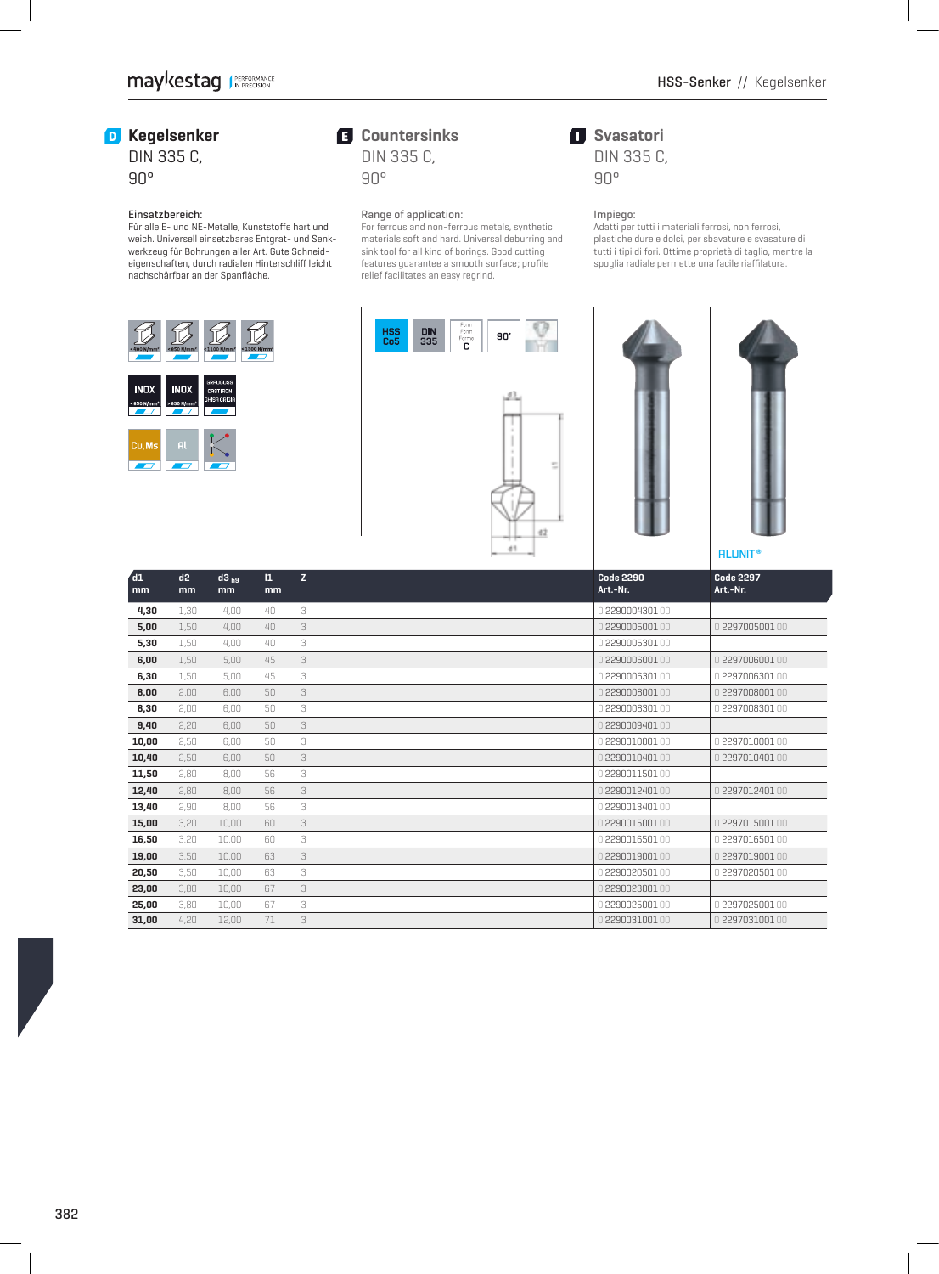**Svasatori** DIN 335 C,

90°

Impiego:

## **D** Kegelsenker

## DIN 335 C, 90°

### Einsatzbereich:

Für alle E- und NE-Metalle, Kunststoffe hart und weich. Universell einsetzbares Entgrat- und Senkwerkzeug für Bohrungen aller Art. Gute Schneideigenschaften, durch radialen Hinterschliff leicht nachschärfbar an der Spanfläche.



## **Countersinks** DIN 335 C,

90°

## Range of application:

 For ferrous and non-ferrous metals, synthetic materials soft and hard. Universal deburring and sink tool for all kind of borings. Good cutting features guarantee a smooth surface; profile relief facilitates an easy regrind.







 Adatti per tutti i materiali ferrosi, non ferrosi, plastiche dure e dolci, per sbavature e svasature di tutti i tipi di fori. Ottime proprietà di taglio, mentre la spoglia radiale permette una facile riaffilatura.



| d1<br>mm | d2<br>mm | $d3_{h9}$<br>mm | $\mathbf{1}$<br>mm | Z. |  | <b>Code 2290</b><br>Art.-Nr. | <b>Code 2297</b><br>Art.-Nr. |  |
|----------|----------|-----------------|--------------------|----|--|------------------------------|------------------------------|--|
| 4,30     | 1.30     | 4.00            | 40                 | 3  |  | 0229000430100                |                              |  |
| 5,00     | 1,50     | 4.00            | 40                 | 3  |  | 0229000500100                | 0 229700500100               |  |
| 5,30     | 1.50     | 4.00            | 40                 | 3  |  | 0229000530100                |                              |  |
| 6,00     | 1,50     | 5,00            | 45                 | 3  |  | 0229000600100                | 0 229700600100               |  |
| 6,30     | 1,50     | 5.00            | 45                 | 3  |  | 0.2290006301.00              | 0 229700630100               |  |
| 8,00     | 2.00     | 6.00            | 50                 | 3  |  | 0229000800100                | 0229700800100                |  |
| 8,30     | 2,00     | 6.00            | 50                 | 3  |  | 0229000830100                | 0 2297008301 00              |  |
| 9,40     | 2.20     | 6.00            | 50                 | 3  |  | 0229000940100                |                              |  |
| 10,00    | 2,50     | 6.00            | 50                 | 3  |  | 0229001000100                | 0 2297010001 00              |  |
| 10,40    | 2.50     | 6.00            | 50                 | 3  |  | 0229001040100                | 0 2297010401 00              |  |
| 11,50    | 2,80     | 8.00            | 56                 | 3  |  | 0229001150100                |                              |  |
| 12,40    | 2.80     | 8.00            | 56                 | 3  |  | 0229001240100                | 0229701240100                |  |
| 13,40    | 2,90     | 8.00            | 56                 | 3  |  | 0229001340100                |                              |  |
| 15,00    | 3,20     | 10.00           | 60                 | 3  |  | 0229001500100                | 0 2297015001 00              |  |
| 16,50    | 3,20     | 10.00           | 60                 | 3  |  | 0229001650100                | 0 2297016501 00              |  |
| 19,00    | 3,50     | 10,00           | 63                 | 3  |  | 0.2290019001.00              | 0 2297019001 00              |  |
| 20,50    | 3,50     | 10.00           | 63                 | 3  |  | 0229002050100                | 0 2297020501 00              |  |
| 23,00    | 3,80     | 10,00           | 67                 | 3  |  | 0.2290023001.00              |                              |  |
| 25,00    | 3,80     | 10,00           | 67                 | 3  |  | 0229002500100                | 0 2297025001 00              |  |
| 31,00    | 4.20     | 12.00           | 71                 | 3  |  | 0229003100100                | 0 2297031001 00              |  |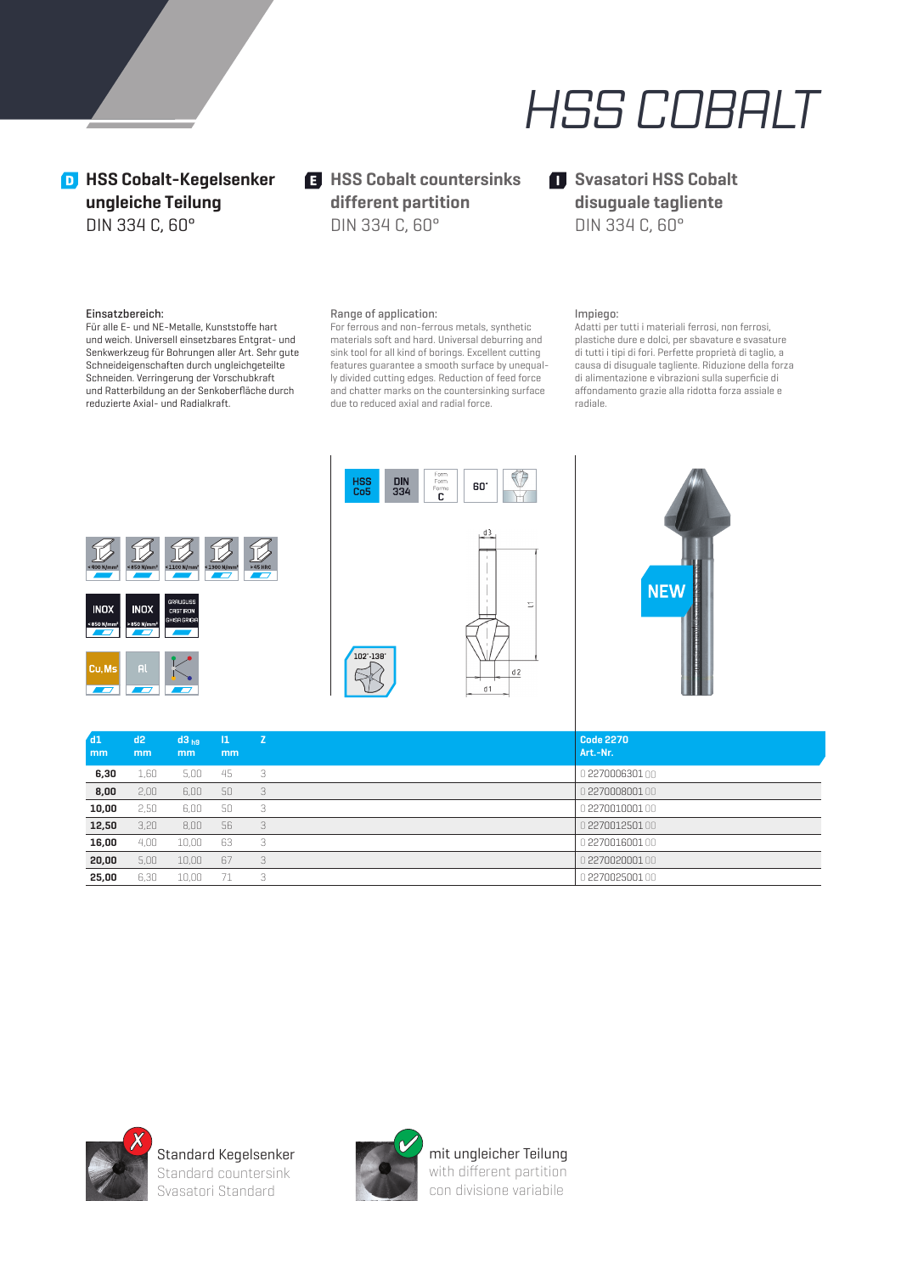

## **D** HSS Cobalt-Kegelsenker **ungleiche Teilung** DIN 334 C, 60°

 $H$  **HSS Cobalt countersinks different partition** DIN 334 C, 60°

## **Svasatori HSS Cobalt disuguale tagliente** DIN 334 C, 60°

#### Einsatzbereich:

Für alle E- und NE-Metalle, Kunststoffe hart und weich. Universell einsetzbares Entgrat- und Senkwerkzeug für Bohrungen aller Art. Sehr gute Schneideigenschaften durch ungleichgeteilte Schneiden. Verringerung der Vorschubkraft und Ratterbildung an der Senkoberfläche durch reduzierte Axial- und Radialkraft.

#### Range of application:

 For ferrous and non-ferrous metals, synthetic materials soft and hard. Universal deburring and sink tool for all kind of borings. Excellent cutting features guarantee a smooth surface by unequally divided cutting edges. Reduction of feed force and chatter marks on the countersinking surface due to reduced axial and radial force.

### Impiego:

Adatti per tutti i materiali ferrosi, non ferrosi, plastiche dure e dolci, per sbavature e svasature di tutti i tipi di fori. Perfette proprietà di taglio, a causa di disuguale tagliente. Riduzione della forza di alimentazione e vibrazioni sulla superficie di aff ondamento grazie alla ridotta forza assiale e radiale.







| dd1<br>mm | d2<br><sub>mm</sub> | d3 <sub>h9</sub><br><sub>mm</sub> | -11<br>mm | Z | <b>Code 2270</b><br>Art.-Nr. |
|-----------|---------------------|-----------------------------------|-----------|---|------------------------------|
| 6,30      | 1,60                | 5.00                              | 45        | 3 | 0 2270006301 00              |
| 8,00      | 2,00                | 6,00                              | 50        | 3 | 0 2270008001                 |
| 10,00     | 2,50                | 6.00                              | 50        | 3 | 0227001000100                |
| 12,50     | 3,20                | 8,00                              | 56        | 3 | 0 2270012501 00              |
| 16,00     | 4.00                | 10.00                             | 63        | 3 | 0 227001600100               |
| 20,00     | 5,00                | 10,00                             | 67        | 3 | 0 2270020001 00              |
| 25,00     | 6.30                | 10.00                             | -71       | 3 | 0227002500100                |



Standard Kegelsenker Standard countersink Svasatori Standard

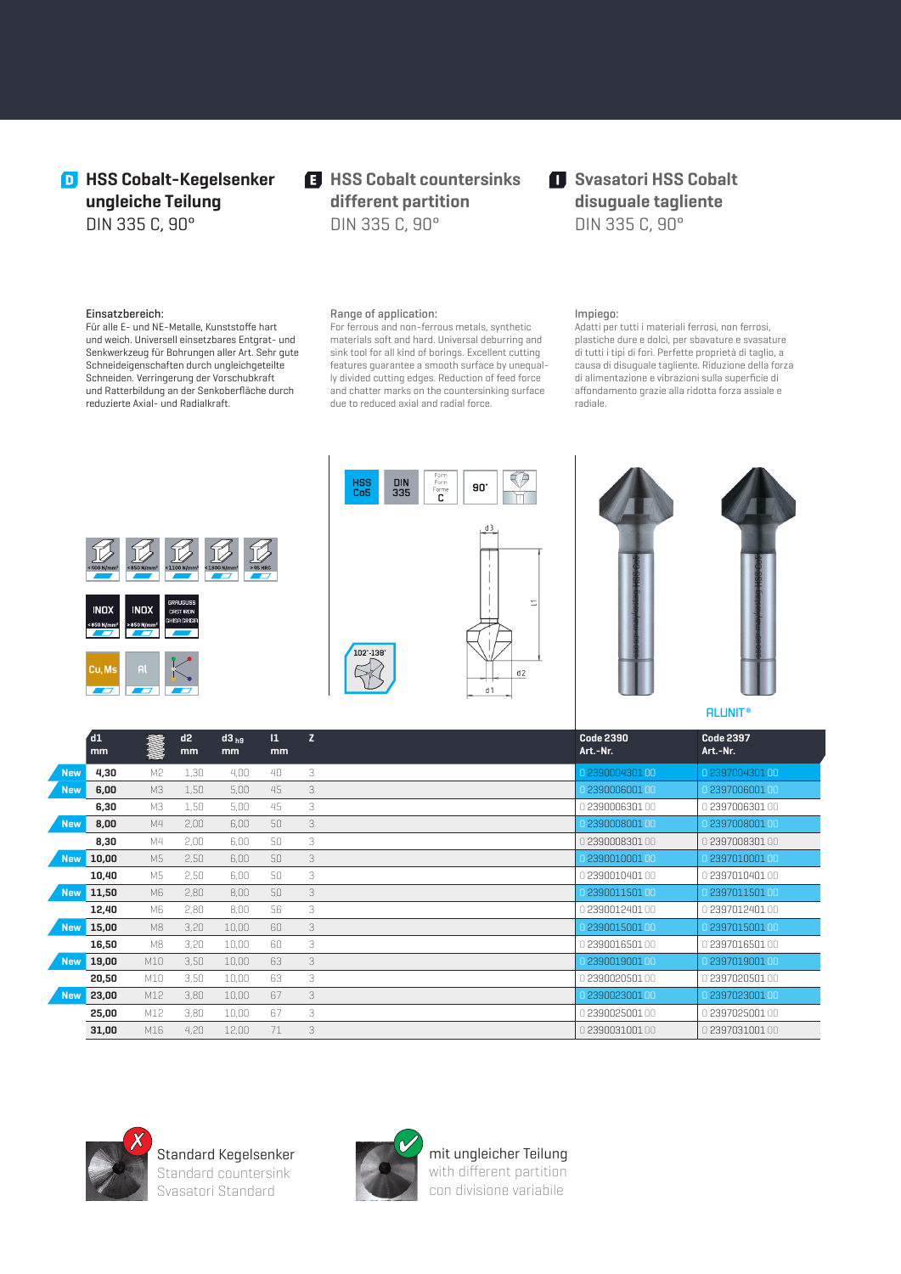## **D** HSS Cobalt-Kegelsenker **ungleiche Teilung** DIN 335 C, 90°

 $H$  **HSS Cobalt countersinks different partition** DIN 335 C, 90°

## $\blacksquare$  Svasatori HSS Cobalt **disuguale tagliente** DIN 335 C, 90°

#### Einsatzbereich:

Für alle E- und NE-Metalle, Kunststoffe hart und weich. Universell einsetzbares Entgrat- und Senkwerkzeug für Bohrungen aller Art. Sehr gute Schneideigenschaften durch ungleichgeteilte Schneiden. Verringerung der Vorschubkraft und Ratterbildung an der Senkoberfläche durch reduzierte Axial- und Radialkraft.

#### Range of application:

 For ferrous and non-ferrous metals, synthetic materials soft and hard. Universal deburring and sink tool for all kind of borings. Excellent cutting features guarantee a smooth surface by unequally divided cutting edges. Reduction of feed force and chatter marks on the countersinking surface due to reduced axial and radial force.

### Impiego:

Adatti per tutti i materiali ferrosi, non ferrosi, plastiche dure e dolci, per sbavature e svasature di tutti i tipi di fori. Perfette proprietà di taglio, a causa di disuguale tagliente. Riduzione della forza di alimentazione e vibrazioni sulla superficie di aff ondamento grazie alla ridotta forza assiale e radiale.







|            | $\mathsf{d}1$<br>mm | in 1914        | d2<br>mm | $d3_{hg}$<br>mm | $\mathbf{1}$<br><sub>mm</sub> | $\overline{z}$ | <b>Code 2390</b><br>Art.-Nr. | <b>Code 2397</b><br>Art.-Nr. |
|------------|---------------------|----------------|----------|-----------------|-------------------------------|----------------|------------------------------|------------------------------|
| <b>New</b> | 4,30                | M <sub>2</sub> | 1,30     | 4,00            | 40                            | 3              | 0 2390004301 00              | 0 2397004301 00              |
| <b>New</b> | 6,00                | M3             | 1,50     | 5,00            | 45                            | 3              | 0 2390006001 00              | 0 2397006001 00              |
|            | 6,30                | МЗ             | 1,50     | 5,00            | 45                            | 3              | 0 2390006301 00              | 0 2397006301 00              |
| <b>New</b> | 8,00                | M4             | 2,00     | 6,00            | 50                            | 3              | 0 2390008001 00              | 0 2397008001 00              |
|            | 8,30                | M4             | 2,00     | 6,00            | 50                            | 3              | 239000830100                 | 0 2397008301 00              |
| <b>New</b> | 10,00               | M5             | 2,50     | 6,00            | 50                            | 3              | 0 239001000100               | 0 239701000100               |
|            | 10,40               | M5             | 2,50     | 6,00            | 50                            | 3              | 239001040100                 | 0 2397010401 00              |
| <b>New</b> | 11,50               | M6             | 2,80     | 8,00            | 50                            | 3              | 0 239001150100               | 0 2397011501 00              |
|            | 12,40               | M6             | 2,80     | 8,00            | 56                            | 3              | 0 2390012401 00              | 0239701240100                |
| <b>New</b> | 15,00               | M8             | 3,20     | 10,00           | 60                            | 3              | 0 239001500100               | 0 2397015001 00              |
|            | 16,50               | M8             | 3,20     | 10,00           | 60                            | 3              | 0239001650100                | 0239701650100                |
| <b>New</b> | 19,00               | M10            | 3,50     | 10,00           | 63                            | 3              | 0 239001900100               | 0 2397019001 00              |
|            | 20,50               | M10            | 3,50     | 10,00           | 63                            | 3              | 239002050100                 | 0 2397020501 00              |
| <b>New</b> | 23,00               | M12            | 3,80     | 10,00           | 67                            | 3              | 0 2390023001 00              | 0 2397023001 00              |
|            | 25,00               | M12            | 3,80     | 10,00           | 67                            | 3              | 0 2390025001 00              | 0 2397025001 00              |
|            | 31,00               | M16            | 4,20     | 12,00           | 71                            | 3              | 239003100100                 | 0 2397031001 00              |



Standard Kegelsenker Standard countersink Svasatori Standard

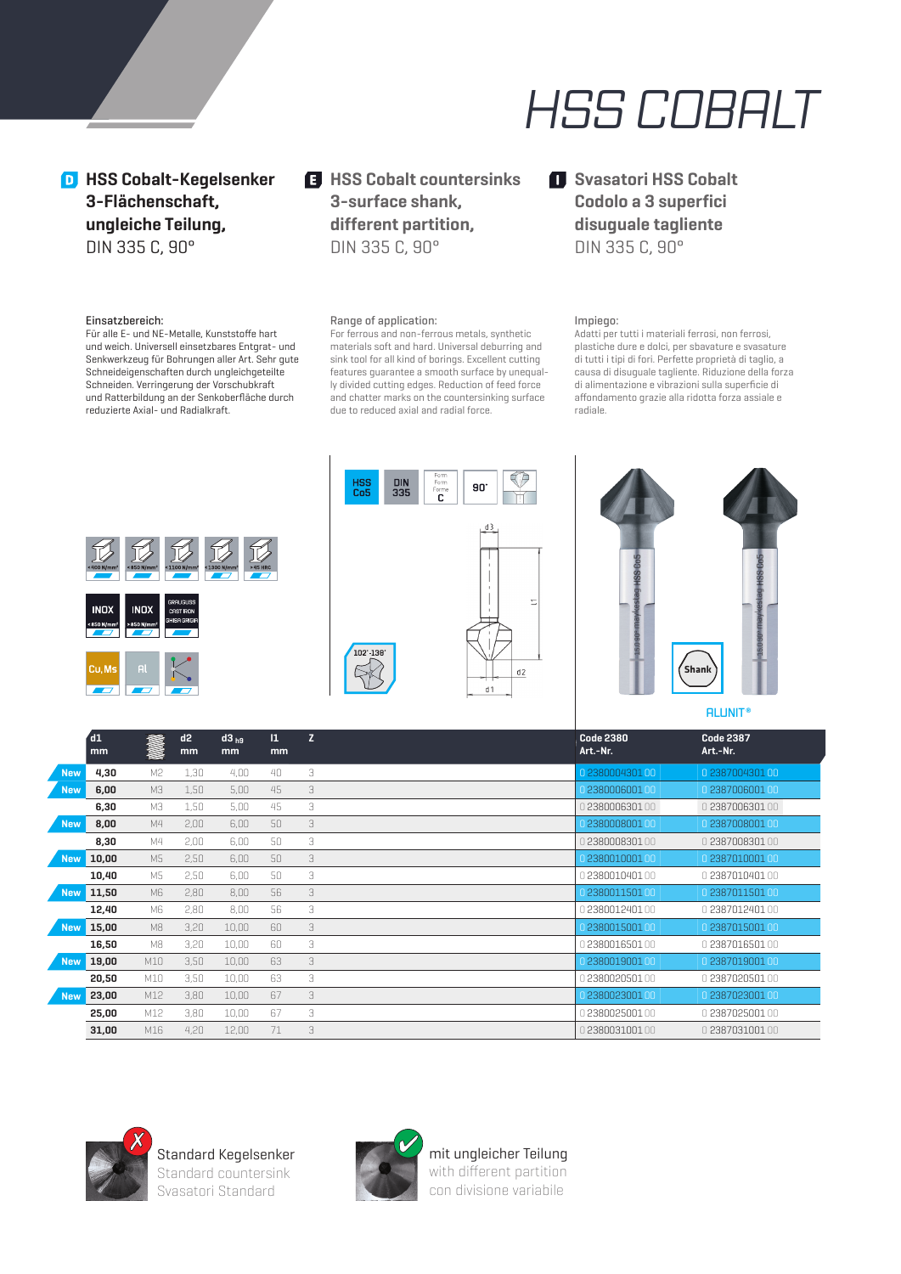# *HSS COBALT*

**D** HSS Cobalt-Kegelsenker **3-Flächenschaft, ungleiche Teilung,** DIN 335 C, 90°

#### Einsatzbereich:

Für alle E- und NE-Metalle, Kunststoffe hart und weich. Universell einsetzbares Entgrat- und Senkwerkzeug für Bohrungen aller Art. Sehr gute Schneideigenschaften durch ungleichgeteilte Schneiden. Verringerung der Vorschubkraft und Ratterbildung an der Senkoberfläche durch reduzierte Axial- und Radialkraft.

## $H$  **HSS Cobalt countersinks 3-surface shank, different partition,** DIN 335 C, 90°

## Range of application:

 For ferrous and non-ferrous metals, synthetic materials soft and hard. Universal deburring and sink tool for all kind of borings. Excellent cutting features guarantee a smooth surface by unequally divided cutting edges. Reduction of feed force and chatter marks on the countersinking surface due to reduced axial and radial force.

## $\blacksquare$  Svasatori HSS Cobalt **Codolo a 3 superfici disuguale tagliente** DIN 335 C, 90°

#### Impiego:

Adatti per tutti i materiali ferrosi, non ferrosi, plastiche dure e dolci, per sbavature e svasature di tutti i tipi di fori. Perfette proprietà di taglio, a causa di disuguale tagliente. Riduzione della forza di alimentazione e vibrazioni sulla superficie di affondamento grazie alla ridotta forza assiale e radiale.







**ALUNIT ®**

|            | $\overline{d1}$<br>mm | in 1914 (1914)<br>1914 (1914) | d2<br>mm | $d3_{hg}$<br>mm | $\mathbf{1}$<br>mm | Z | <b>Code 2380</b><br>Art.-Nr. | <b>Code 2387</b><br>Art.-Nr. |
|------------|-----------------------|-------------------------------|----------|-----------------|--------------------|---|------------------------------|------------------------------|
| <b>New</b> | 4,30                  | M <sub>2</sub>                | 1,30     | 4,00            | 40                 | 3 | 0 238000430100               | 0 2387004301 00              |
| <b>New</b> | 6,00                  | МЗ                            | 1,50     | 5,00            | 45                 | 3 | 0 238000600100               | 0 2387006001 00              |
|            | 6,30                  | МЗ                            | 1,50     | 5,00            | 45                 | 3 | 0 2380006301                 | 0 238700630100               |
| <b>New</b> | 8,00                  | M4                            | 2,00     | 6,00            | 50                 | 3 | 0 2380008001 00              | 0 2387008001 00              |
|            | 8,30                  | M4                            | 2,00     | 6,00            | 50                 | 3 | 238000830100                 | 0 238700830100               |
| <b>New</b> | 10,00                 | M5                            | 2,50     | 6,00            | 50                 | 3 | 0 238001000100               | 0 238701000100               |
|            | 10,40                 | M5                            | 2,50     | 6,00            | 50                 | 3 | 1238001040100                | 0 238701040100               |
| <b>New</b> | 11,50                 | M6                            | 2,80     | 8,00            | 56                 | 3 | 0 238001150100               | 0 2387011501 00              |
|            | 12,40                 | M6                            | 2,80     | 8,00            | 56                 | 3 | 0238001240100                | 0 2387012401 00              |
| <b>New</b> | 15,00                 | M8                            | 3,20     | 10,00           | 60                 | 3 | 0 238001500100               | 0 2387015001 00              |
|            | 16,50                 | M8                            | 3,20     | 10,00           | 60                 | 3 | 0 238001650100               | 0 238701650100               |
| <b>New</b> | 19,00                 | M10                           | 3,50     | 10,00           | 63                 | 3 | 0 238001900100               | 0 238701900100               |
|            | 20,50                 | M10                           | 3,50     | 10,00           | 63                 | 3 | 0 238002050100               | 0 238702050100               |
| <b>New</b> | 23,00                 | M12                           | 3,80     | 10,00           | 67                 | 3 | 0 2380023001 00              | 0 2387023001 00              |
|            | 25,00                 | M12                           | 3,80     | 10,00           | 67                 | 3 | 0 238002500100               | 0 2387025001 00              |
|            | 31,00                 | M16                           | 4,20     | 12,00           | 71                 | 3 | 238003100100                 | 0 238703100100               |



Standard Kegelsenker Standard countersink Svasatori Standard